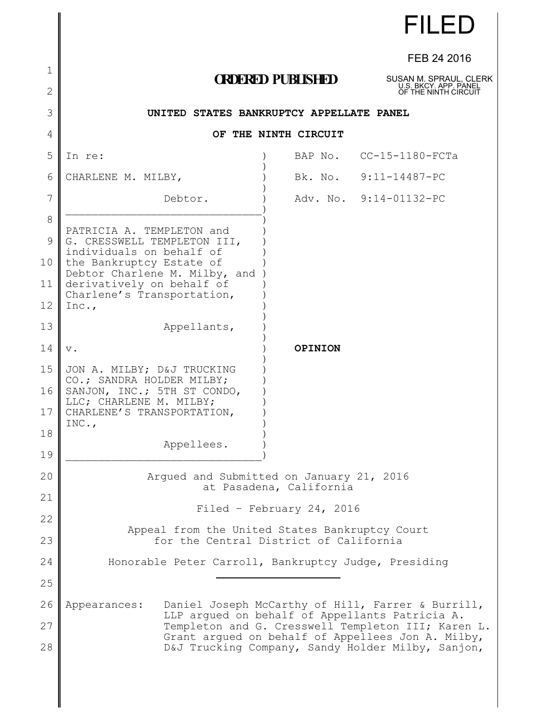|                     |                                                                                                        |                          | <b>FILED</b>            |
|---------------------|--------------------------------------------------------------------------------------------------------|--------------------------|-------------------------|
|                     |                                                                                                        |                          | FEB 24 2016             |
| 1<br>$\overline{2}$ |                                                                                                        | <b>ORDERED PUBLISHED</b> |                         |
| 3                   | OF THE NINTH CIRCUIT<br>UNITED STATES BANKRUPTCY APPELLATE PANEL                                       |                          |                         |
| 4                   | OF THE NINTH CIRCUIT                                                                                   |                          |                         |
| 5                   | In re:                                                                                                 |                          | BAP No. CC-15-1180-FCTa |
| 6                   | CHARLENE M. MILBY,                                                                                     |                          | Bk. No. 9:11-14487-PC   |
| 7                   | Debtor.                                                                                                |                          | Adv. No. 9:14-01132-PC  |
| 8                   | PATRICIA A. TEMPLETON and                                                                              |                          |                         |
| 9                   | G. CRESSWELL TEMPLETON III,<br>individuals on behalf of                                                |                          |                         |
| 10                  | the Bankruptcy Estate of<br>Debtor Charlene M. Milby, and                                              |                          |                         |
| 11                  | derivatively on behalf of<br>Charlene's Transportation,                                                |                          |                         |
| 12                  | Inc.,                                                                                                  |                          |                         |
| 13                  | Appellants,                                                                                            |                          |                         |
| 14                  | $\mathbf v$ .                                                                                          | OPINION                  |                         |
| 15<br>16            | JON A. MILBY; D&J TRUCKING<br>CO.; SANDRA HOLDER MILBY;<br>SANJON, INC.; 5TH ST CONDO,                 |                          |                         |
| 17                  | LLC; CHARLENE M. MILBY;<br>CHARLENE'S TRANSPORTATION,<br>INC.,                                         |                          |                         |
| 18                  | Appellees.                                                                                             |                          |                         |
| 19                  |                                                                                                        |                          |                         |
| 20                  | Argued and Submitted on January 21, 2016<br>at Pasadena, California                                    |                          |                         |
| 21                  | Filed - February 24, 2016                                                                              |                          |                         |
| 22<br>23            | Appeal from the United States Bankruptcy Court<br>for the Central District of California               |                          |                         |
| 24                  | Honorable Peter Carroll, Bankruptcy Judge, Presiding                                                   |                          |                         |
| 25                  |                                                                                                        |                          |                         |
| 26                  | Daniel Joseph McCarthy of Hill, Farrer & Burrill,<br>Appearances:                                      |                          |                         |
| 27                  | LLP argued on behalf of Appellants Patricia A.<br>Templeton and G. Cresswell Templeton III; Karen L.   |                          |                         |
| 28                  | Grant argued on behalf of Appellees Jon A. Milby,<br>D&J Trucking Company, Sandy Holder Milby, Sanjon, |                          |                         |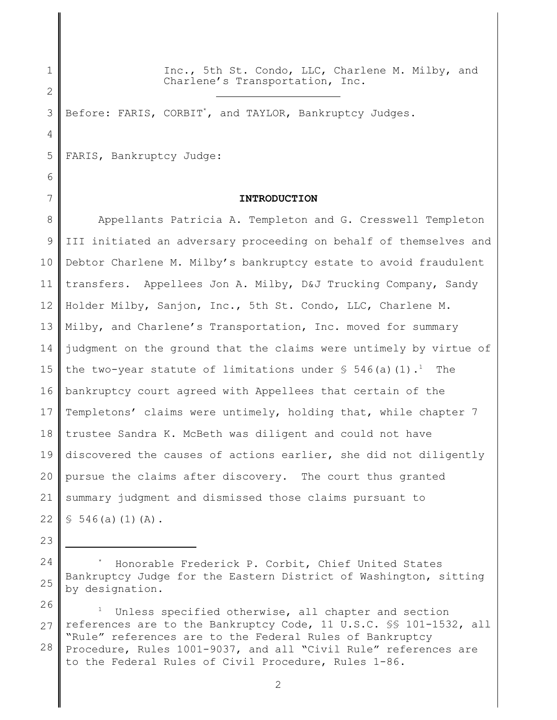1 2 Inc., 5th St. Condo, LLC, Charlene M. Milby, and Charlene's Transportation, Inc.

3 Before: FARIS, CORBIT\*, and TAYLOR, Bankruptcy Judges.

 $\overline{a}$ 

5 FARIS, Bankruptcy Judge:

# 6

4

# 7

23

# **INTRODUCTION**

8 9 10 11 12 13 14 15 16 17 18 19 20 21 22 Appellants Patricia A. Templeton and G. Cresswell Templeton III initiated an adversary proceeding on behalf of themselves and Debtor Charlene M. Milby's bankruptcy estate to avoid fraudulent transfers. Appellees Jon A. Milby, D&J Trucking Company, Sandy Holder Milby, Sanjon, Inc., 5th St. Condo, LLC, Charlene M. Milby, and Charlene's Transportation, Inc. moved for summary judgment on the ground that the claims were untimely by virtue of the two-year statute of limitations under  $\frac{1}{5}$  546(a)(1).<sup>1</sup> The bankruptcy court agreed with Appellees that certain of the Templetons' claims were untimely, holding that, while chapter 7 trustee Sandra K. McBeth was diligent and could not have discovered the causes of actions earlier, she did not diligently pursue the claims after discovery. The court thus granted summary judgment and dismissed those claims pursuant to  $$546(a)(1)(A).$ 

24 25 Honorable Frederick P. Corbit, Chief United States Bankruptcy Judge for the Eastern District of Washington, sitting by designation.

26 27 28 <sup>1</sup> Unless specified otherwise, all chapter and section references are to the Bankruptcy Code, 11 U.S.C. §§ 101-1532, all "Rule" references are to the Federal Rules of Bankruptcy Procedure, Rules 1001-9037, and all "Civil Rule" references are to the Federal Rules of Civil Procedure, Rules 1-86.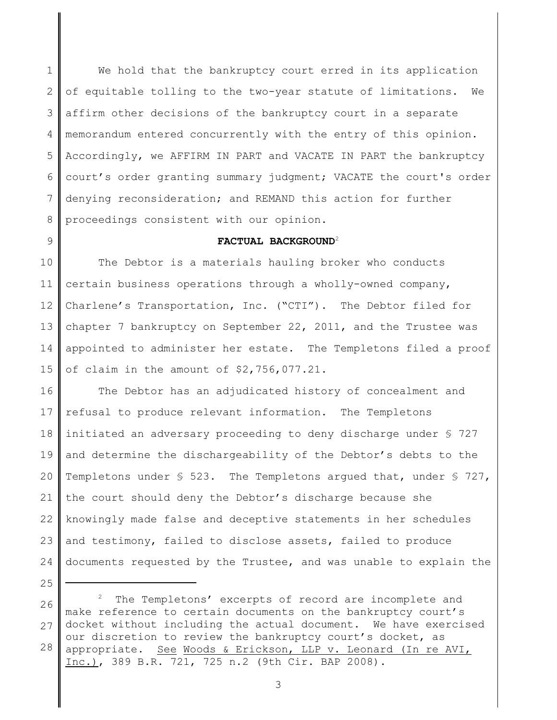1 2 3 4 5 6 7 8 We hold that the bankruptcy court erred in its application of equitable tolling to the two-year statute of limitations. We affirm other decisions of the bankruptcy court in a separate memorandum entered concurrently with the entry of this opinion. Accordingly, we AFFIRM IN PART and VACATE IN PART the bankruptcy court's order granting summary judgment; VACATE the court's order denying reconsideration; and REMAND this action for further proceedings consistent with our opinion.

9

# **FACTUAL BACKGROUND**<sup>2</sup>

10 11 12 13 14 15 The Debtor is a materials hauling broker who conducts certain business operations through a wholly-owned company, Charlene's Transportation, Inc. ("CTI"). The Debtor filed for chapter 7 bankruptcy on September 22, 2011, and the Trustee was appointed to administer her estate. The Templetons filed a proof of claim in the amount of \$2,756,077.21.

16 17 18 19 20 21 22 23 24 The Debtor has an adjudicated history of concealment and refusal to produce relevant information. The Templetons initiated an adversary proceeding to deny discharge under § 727 and determine the dischargeability of the Debtor's debts to the Templetons under § 523. The Templetons argued that, under § 727, the court should deny the Debtor's discharge because she knowingly made false and deceptive statements in her schedules and testimony, failed to disclose assets, failed to produce documents requested by the Trustee, and was unable to explain the

<sup>25</sup>

<sup>26</sup> 27 28 The Templetons' excerpts of record are incomplete and make reference to certain documents on the bankruptcy court's docket without including the actual document. We have exercised our discretion to review the bankruptcy court's docket, as appropriate. See Woods & Erickson, LLP v. Leonard (In re AVI, Inc.), 389 B.R. 721, 725 n.2 (9th Cir. BAP 2008).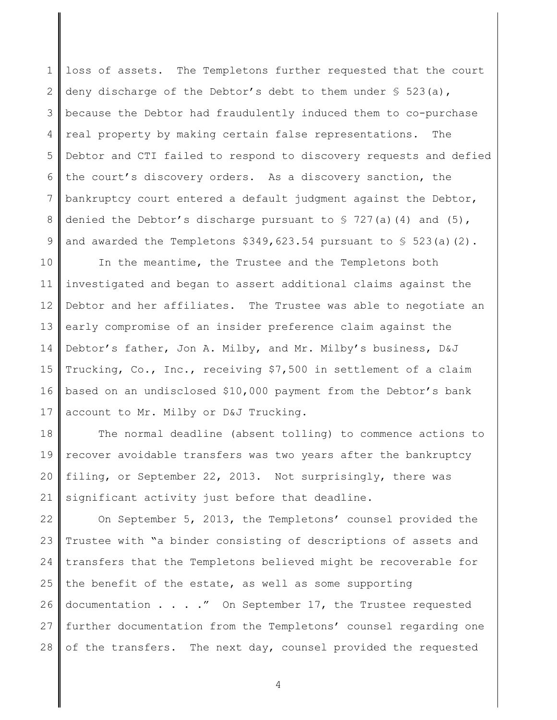1 2 3 4 5 6 7 8 9 loss of assets. The Templetons further requested that the court deny discharge of the Debtor's debt to them under  $\S$  523(a), because the Debtor had fraudulently induced them to co-purchase real property by making certain false representations. The Debtor and CTI failed to respond to discovery requests and defied the court's discovery orders. As a discovery sanction, the bankruptcy court entered a default judgment against the Debtor, denied the Debtor's discharge pursuant to  $\S$  727(a)(4) and (5), and awarded the Templetons  $$349,623.54$  pursuant to  $$523(a)(2)$ .

10 11 12 13 14 15 16 17 In the meantime, the Trustee and the Templetons both investigated and began to assert additional claims against the Debtor and her affiliates. The Trustee was able to negotiate an early compromise of an insider preference claim against the Debtor's father, Jon A. Milby, and Mr. Milby's business, D&J Trucking, Co., Inc., receiving \$7,500 in settlement of a claim based on an undisclosed \$10,000 payment from the Debtor's bank account to Mr. Milby or D&J Trucking.

18 19 20 21 The normal deadline (absent tolling) to commence actions to recover avoidable transfers was two years after the bankruptcy filing, or September 22, 2013. Not surprisingly, there was significant activity just before that deadline.

22 23 24 25 26 27 28 On September 5, 2013, the Templetons' counsel provided the Trustee with "a binder consisting of descriptions of assets and transfers that the Templetons believed might be recoverable for the benefit of the estate, as well as some supporting documentation . . . ." On September 17, the Trustee requested further documentation from the Templetons' counsel regarding one of the transfers. The next day, counsel provided the requested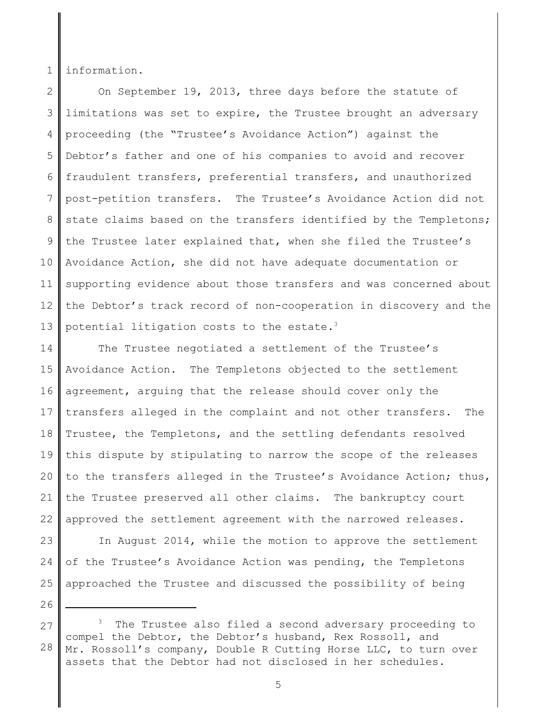1 information.

2 3 4 5 6 7 8 9 10 11 12 13 On September 19, 2013, three days before the statute of limitations was set to expire, the Trustee brought an adversary proceeding (the "Trustee's Avoidance Action") against the Debtor's father and one of his companies to avoid and recover fraudulent transfers, preferential transfers, and unauthorized post-petition transfers. The Trustee's Avoidance Action did not state claims based on the transfers identified by the Templetons; the Trustee later explained that, when she filed the Trustee's Avoidance Action, she did not have adequate documentation or supporting evidence about those transfers and was concerned about the Debtor's track record of non-cooperation in discovery and the potential litigation costs to the estate.<sup>3</sup>

14 15 16 17 18 19 20 21 22 The Trustee negotiated a settlement of the Trustee's Avoidance Action. The Templetons objected to the settlement agreement, arguing that the release should cover only the transfers alleged in the complaint and not other transfers. The Trustee, the Templetons, and the settling defendants resolved this dispute by stipulating to narrow the scope of the releases to the transfers alleged in the Trustee's Avoidance Action; thus, the Trustee preserved all other claims. The bankruptcy court approved the settlement agreement with the narrowed releases.

23 24 25 In August 2014, while the motion to approve the settlement of the Trustee's Avoidance Action was pending, the Templetons approached the Trustee and discussed the possibility of being

<sup>27</sup> 28 The Trustee also filed a second adversary proceeding to compel the Debtor, the Debtor's husband, Rex Rossoll, and Mr. Rossoll's company, Double R Cutting Horse LLC, to turn over assets that the Debtor had not disclosed in her schedules.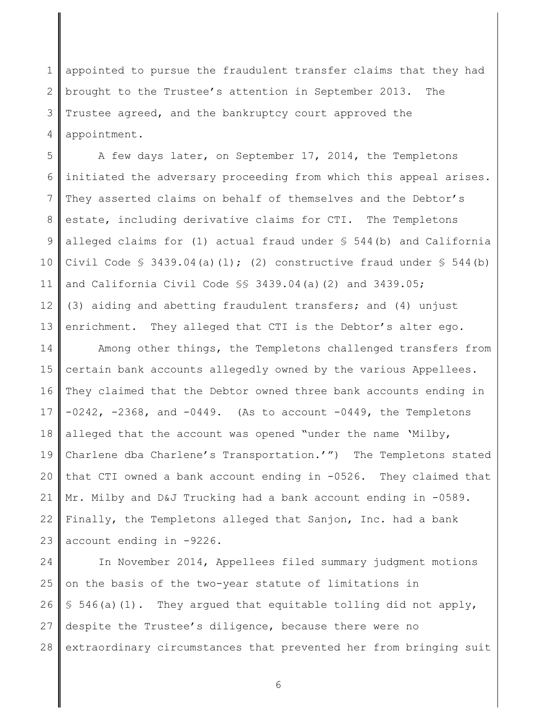1 2 3 4 appointed to pursue the fraudulent transfer claims that they had brought to the Trustee's attention in September 2013. The Trustee agreed, and the bankruptcy court approved the appointment.

5 6 7 8 9 10 11 12 13 A few days later, on September 17, 2014, the Templetons initiated the adversary proceeding from which this appeal arises. They asserted claims on behalf of themselves and the Debtor's estate, including derivative claims for CTI. The Templetons alleged claims for (1) actual fraud under  $\S$  544(b) and California Civil Code  $\frac{1}{5}$  3439.04(a)(l); (2) constructive fraud under  $\frac{1}{5}$  544(b) and California Civil Code §§ 3439.04(a)(2) and 3439.05; (3) aiding and abetting fraudulent transfers; and (4) unjust enrichment. They alleged that CTI is the Debtor's alter ego.

14 15 16 17 18 19 20 21 22 23 Among other things, the Templetons challenged transfers from certain bank accounts allegedly owned by the various Appellees. They claimed that the Debtor owned three bank accounts ending in  $-0242$ ,  $-2368$ , and  $-0449$ . (As to account  $-0449$ , the Templetons alleged that the account was opened "under the name 'Milby, Charlene dba Charlene's Transportation.'") The Templetons stated that CTI owned a bank account ending in -0526. They claimed that Mr. Milby and D&J Trucking had a bank account ending in -0589. Finally, the Templetons alleged that Sanjon, Inc. had a bank account ending in -9226.

24 25 26 27 28 In November 2014, Appellees filed summary judgment motions on the basis of the two-year statute of limitations in  $§$  546(a)(1). They argued that equitable tolling did not apply, despite the Trustee's diligence, because there were no extraordinary circumstances that prevented her from bringing suit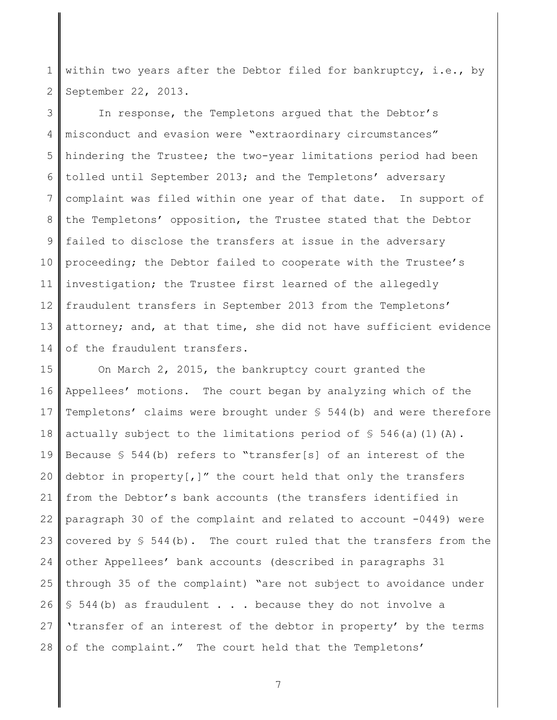1 2 within two years after the Debtor filed for bankruptcy, i.e., by September 22, 2013.

3 4 5 6 7 8 9 10 11 12 13 14 In response, the Templetons argued that the Debtor's misconduct and evasion were "extraordinary circumstances" hindering the Trustee; the two-year limitations period had been tolled until September 2013; and the Templetons' adversary complaint was filed within one year of that date. In support of the Templetons' opposition, the Trustee stated that the Debtor failed to disclose the transfers at issue in the adversary proceeding; the Debtor failed to cooperate with the Trustee's investigation; the Trustee first learned of the allegedly fraudulent transfers in September 2013 from the Templetons' attorney; and, at that time, she did not have sufficient evidence of the fraudulent transfers.

15 16 17 18 19 20 21 22 23 24 25 26 27 28 On March 2, 2015, the bankruptcy court granted the Appellees' motions. The court began by analyzing which of the Templetons' claims were brought under § 544(b) and were therefore actually subject to the limitations period of  $\frac{1}{5}$  546(a)(1)(A). Because § 544(b) refers to "transfer[s] of an interest of the debtor in property[,]" the court held that only the transfers from the Debtor's bank accounts (the transfers identified in paragraph 30 of the complaint and related to account -0449) were covered by  $$544(b)$ . The court ruled that the transfers from the other Appellees' bank accounts (described in paragraphs 31 through 35 of the complaint) "are not subject to avoidance under § 544(b) as fraudulent . . . because they do not involve a 'transfer of an interest of the debtor in property' by the terms of the complaint." The court held that the Templetons'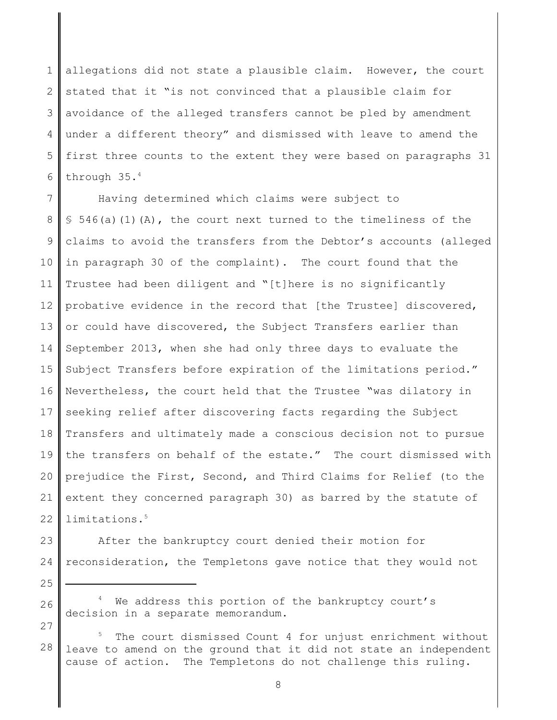1 2 3 4 5 6 allegations did not state a plausible claim. However, the court stated that it "is not convinced that a plausible claim for avoidance of the alleged transfers cannot be pled by amendment under a different theory" and dismissed with leave to amend the first three counts to the extent they were based on paragraphs 31 through 35.<sup>4</sup>

7 8 9 10 11 12 13 14 15 16 17 18 19 20 21 22 Having determined which claims were subject to  $$546(a)(1)(A)$ , the court next turned to the timeliness of the claims to avoid the transfers from the Debtor's accounts (alleged in paragraph 30 of the complaint). The court found that the Trustee had been diligent and "[t]here is no significantly probative evidence in the record that [the Trustee] discovered, or could have discovered, the Subject Transfers earlier than September 2013, when she had only three days to evaluate the Subject Transfers before expiration of the limitations period." Nevertheless, the court held that the Trustee "was dilatory in seeking relief after discovering facts regarding the Subject Transfers and ultimately made a conscious decision not to pursue the transfers on behalf of the estate." The court dismissed with prejudice the First, Second, and Third Claims for Relief (to the extent they concerned paragraph 30) as barred by the statute of limitations.<sup>5</sup>

25

27

23 24 After the bankruptcy court denied their motion for reconsideration, the Templetons gave notice that they would not

- 26 <sup>4</sup> We address this portion of the bankruptcy court's decision in a separate memorandum.
- 28 The court dismissed Count 4 for unjust enrichment without leave to amend on the ground that it did not state an independent cause of action. The Templetons do not challenge this ruling.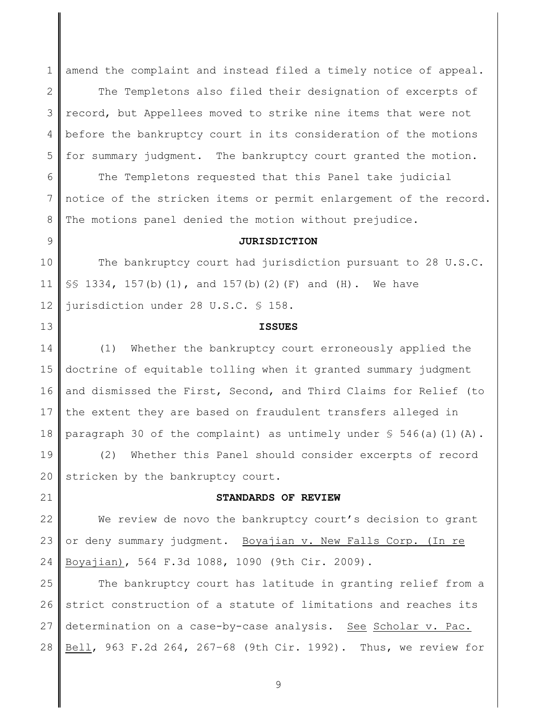1 amend the complaint and instead filed a timely notice of appeal.

2 3 4 5 The Templetons also filed their designation of excerpts of record, but Appellees moved to strike nine items that were not before the bankruptcy court in its consideration of the motions for summary judgment. The bankruptcy court granted the motion.

6 7 8 The Templetons requested that this Panel take judicial notice of the stricken items or permit enlargement of the record. The motions panel denied the motion without prejudice.

# **JURISDICTION**

10 11 12 The bankruptcy court had jurisdiction pursuant to 28 U.S.C. §§ 1334, 157(b)(1), and 157(b)(2)(F) and (H). We have jurisdiction under 28 U.S.C. § 158.

9

13

21

#### **ISSUES**

14 15 16 17 18 (1) Whether the bankruptcy court erroneously applied the doctrine of equitable tolling when it granted summary judgment and dismissed the First, Second, and Third Claims for Relief (to the extent they are based on fraudulent transfers alleged in paragraph 30 of the complaint) as untimely under  $\frac{1}{5}$  546(a)(1)(A).

19 20 (2) Whether this Panel should consider excerpts of record stricken by the bankruptcy court.

**STANDARDS OF REVIEW**

22 23 24 We review de novo the bankruptcy court's decision to grant or deny summary judgment. Boyajian v. New Falls Corp. (In re Boyajian), 564 F.3d 1088, 1090 (9th Cir. 2009).

25 26 27 28 The bankruptcy court has latitude in granting relief from a strict construction of a statute of limitations and reaches its determination on a case-by-case analysis. See Scholar v. Pac. Bell, 963 F.2d 264, 267–68 (9th Cir. 1992). Thus, we review for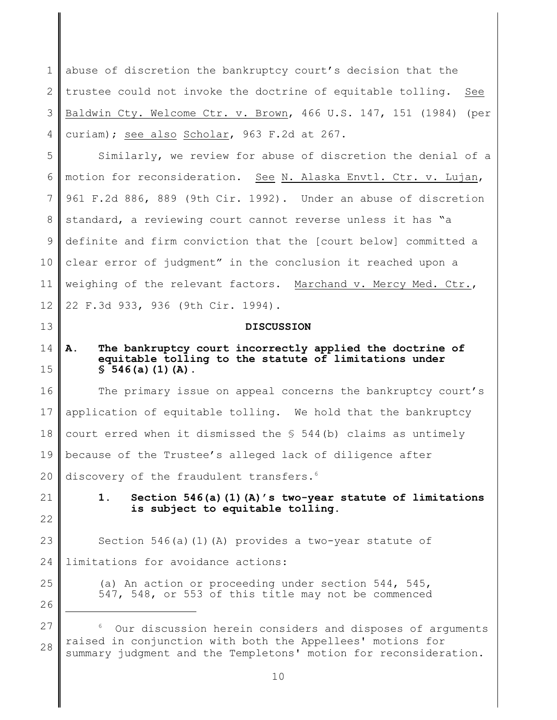1 2 3 4 abuse of discretion the bankruptcy court's decision that the trustee could not invoke the doctrine of equitable tolling. See Baldwin Cty. Welcome Ctr. v. Brown, 466 U.S. 147, 151 (1984) (per curiam); see also Scholar, 963 F.2d at 267.

5 6 7 8 9 10 11 12 Similarly, we review for abuse of discretion the denial of a motion for reconsideration. See N. Alaska Envtl. Ctr. v. Lujan, 961 F.2d 886, 889 (9th Cir. 1992). Under an abuse of discretion standard, a reviewing court cannot reverse unless it has "a definite and firm conviction that the [court below] committed a clear error of judgment" in the conclusion it reached upon a weighing of the relevant factors. Marchand v. Mercy Med. Ctr., 22 F.3d 933, 936 (9th Cir. 1994).

### **DISCUSSION**

#### 14 15 **A. The bankruptcy court incorrectly applied the doctrine of equitable tolling to the statute of limitations under § 546(a)(1)(A).**

16 17 18 19 20 The primary issue on appeal concerns the bankruptcy court's application of equitable tolling. We hold that the bankruptcy court erred when it dismissed the § 544(b) claims as untimely because of the Trustee's alleged lack of diligence after discovery of the fraudulent transfers.<sup>6</sup>

21 22

13

**1. Section 546(a)(1)(A)'s two-year statute of limitations is subject to equitable tolling.**

23 24 Section 546(a)(1)(A) provides a two-year statute of limitations for avoidance actions:

> (a) An action or proceeding under section 544, 545, 547, 548, or 553 of this title may not be commenced

26 27

28

<sup>6</sup> Our discussion herein considers and disposes of arguments raised in conjunction with both the Appellees' motions for summary judgment and the Templetons' motion for reconsideration.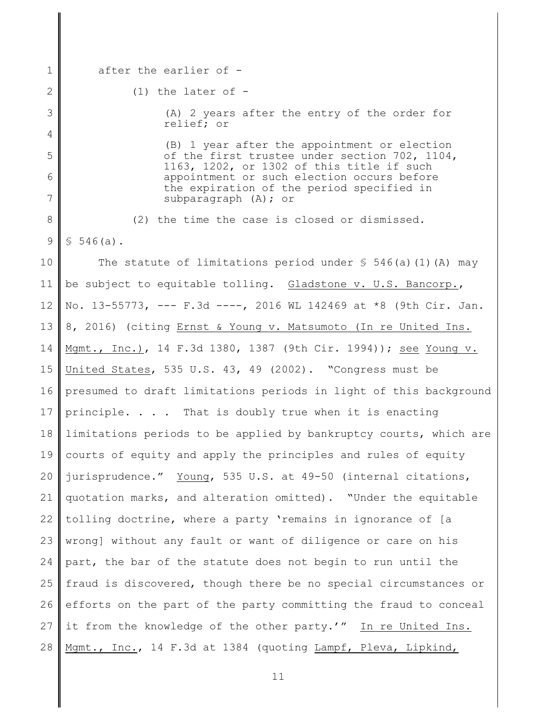1 after the earlier of -

2

3

4

5

6

7

 $(1)$  the later of  $-$ 

(A) 2 years after the entry of the order for relief; or

(B) 1 year after the appointment or election of the first trustee under section 702, 1104, 1163, 1202, or 1302 of this title if such appointment or such election occurs before the expiration of the period specified in subparagraph (A); or

8 9 (2) the time the case is closed or dismissed.  $$546(a).$ 

10 11 12 13 14 15 16 17 18 19 20 21 22 23 24 25 26 27 28 The statute of limitations period under  $\frac{1}{5}$  546(a)(1)(A) may be subject to equitable tolling. Gladstone v. U.S. Bancorp., No. 13-55773, --- F.3d ----, 2016 WL 142469 at \*8 (9th Cir. Jan. 8, 2016) (citing Ernst & Young v. Matsumoto (In re United Ins. Mgmt., Inc.), 14 F.3d 1380, 1387 (9th Cir. 1994)); see Young v. United States, 535 U.S. 43, 49 (2002). "Congress must be presumed to draft limitations periods in light of this background principle. . . . That is doubly true when it is enacting limitations periods to be applied by bankruptcy courts, which are courts of equity and apply the principles and rules of equity jurisprudence." Young, 535 U.S. at 49-50 (internal citations, quotation marks, and alteration omitted). "Under the equitable tolling doctrine, where a party 'remains in ignorance of [a wrong] without any fault or want of diligence or care on his part, the bar of the statute does not begin to run until the fraud is discovered, though there be no special circumstances or efforts on the part of the party committing the fraud to conceal it from the knowledge of the other party.'" In re United Ins. Mgmt., Inc., 14 F.3d at 1384 (quoting Lampf, Pleva, Lipkind,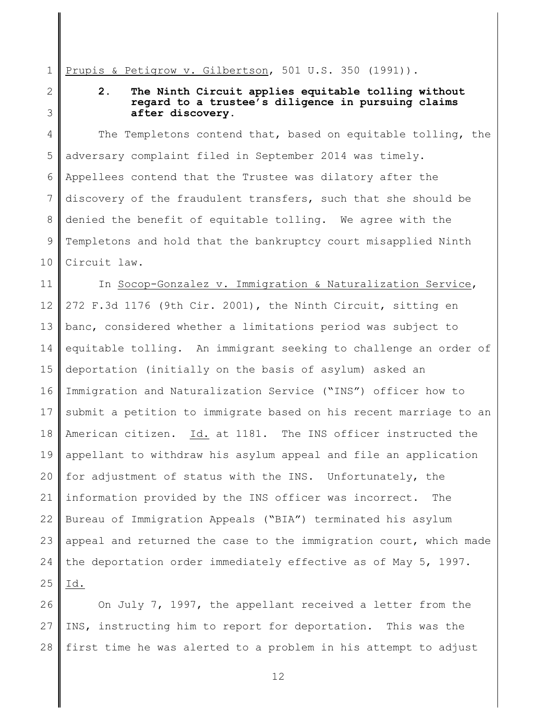1 Prupis & Petigrow v. Gilbertson, 501 U.S. 350 (1991)).

2 3

# **2. The Ninth Circuit applies equitable tolling without regard to a trustee's diligence in pursuing claims after discovery.**

4 5 6 7 8 9 10 The Templetons contend that, based on equitable tolling, the adversary complaint filed in September 2014 was timely. Appellees contend that the Trustee was dilatory after the discovery of the fraudulent transfers, such that she should be denied the benefit of equitable tolling. We agree with the Templetons and hold that the bankruptcy court misapplied Ninth Circuit law.

11 12 13 14 15 16 17 18 19 20 21 22 23 24 25 In Socop-Gonzalez v. Immigration & Naturalization Service, 272 F.3d 1176 (9th Cir. 2001), the Ninth Circuit, sitting en banc, considered whether a limitations period was subject to equitable tolling. An immigrant seeking to challenge an order of deportation (initially on the basis of asylum) asked an Immigration and Naturalization Service ("INS") officer how to submit a petition to immigrate based on his recent marriage to an American citizen. Id. at 1181. The INS officer instructed the appellant to withdraw his asylum appeal and file an application for adjustment of status with the INS. Unfortunately, the information provided by the INS officer was incorrect. The Bureau of Immigration Appeals ("BIA") terminated his asylum appeal and returned the case to the immigration court, which made the deportation order immediately effective as of May 5, 1997. Id.

26 27 28 On July 7, 1997, the appellant received a letter from the INS, instructing him to report for deportation. This was the first time he was alerted to a problem in his attempt to adjust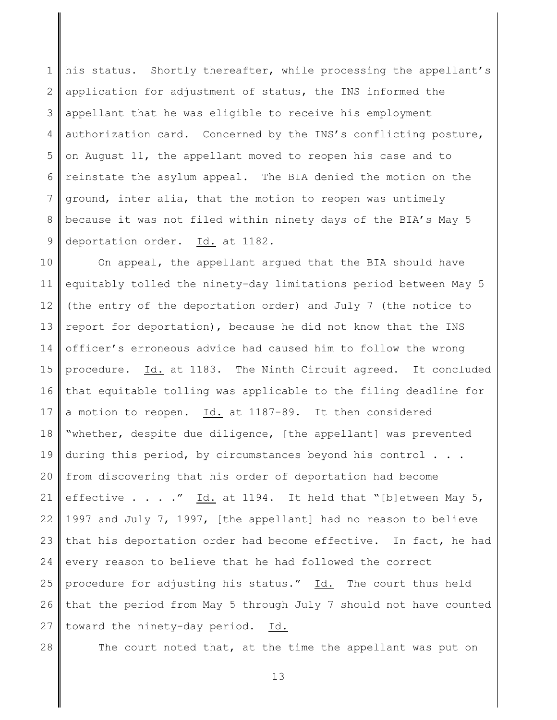1 2 3 4 5 6 7 8 9 his status. Shortly thereafter, while processing the appellant's application for adjustment of status, the INS informed the appellant that he was eligible to receive his employment authorization card. Concerned by the INS's conflicting posture, on August 11, the appellant moved to reopen his case and to reinstate the asylum appeal. The BIA denied the motion on the ground, inter alia, that the motion to reopen was untimely because it was not filed within ninety days of the BIA's May 5 deportation order. Id. at 1182.

10 11 12 13 14 15 16 17 18 19 20 21 22 23 24 25 26 27 On appeal, the appellant argued that the BIA should have equitably tolled the ninety-day limitations period between May 5 (the entry of the deportation order) and July 7 (the notice to report for deportation), because he did not know that the INS officer's erroneous advice had caused him to follow the wrong procedure. Id. at 1183. The Ninth Circuit agreed. It concluded that equitable tolling was applicable to the filing deadline for a motion to reopen. Id. at 1187-89. It then considered "whether, despite due diligence, [the appellant] was prevented during this period, by circumstances beyond his control . . . from discovering that his order of deportation had become effective . . . ." Id. at 1194. It held that "[b]etween May 5, 1997 and July 7, 1997, [the appellant] had no reason to believe that his deportation order had become effective. In fact, he had every reason to believe that he had followed the correct procedure for adjusting his status." Id. The court thus held that the period from May 5 through July 7 should not have counted toward the ninety-day period. Id.

28

The court noted that, at the time the appellant was put on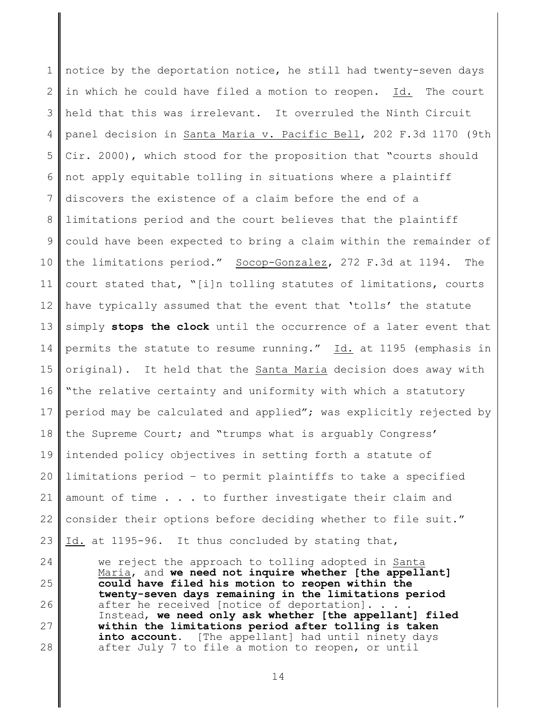1 2 3 4 5 6 7 8 9 10 11 12 13 14 15 16 17 18 19 20 21 22 23 notice by the deportation notice, he still had twenty-seven days in which he could have filed a motion to reopen. Id. The court held that this was irrelevant. It overruled the Ninth Circuit panel decision in Santa Maria v. Pacific Bell, 202 F.3d 1170 (9th Cir. 2000), which stood for the proposition that "courts should not apply equitable tolling in situations where a plaintiff discovers the existence of a claim before the end of a limitations period and the court believes that the plaintiff could have been expected to bring a claim within the remainder of the limitations period." Socop-Gonzalez, 272 F.3d at 1194. The court stated that, "[i]n tolling statutes of limitations, courts have typically assumed that the event that 'tolls' the statute simply **stops the clock** until the occurrence of a later event that permits the statute to resume running." Id. at 1195 (emphasis in original). It held that the Santa Maria decision does away with "the relative certainty and uniformity with which a statutory period may be calculated and applied"; was explicitly rejected by the Supreme Court; and "trumps what is arguably Congress' intended policy objectives in setting forth a statute of limitations period – to permit plaintiffs to take a specified amount of time . . . to further investigate their claim and consider their options before deciding whether to file suit." Id. at 1195-96. It thus concluded by stating that,

24 25 26 27 28 we reject the approach to tolling adopted in Santa Maria, and **we need not inquire whether [the appellant] could have filed his motion to reopen within the twenty-seven days remaining in the limitations period** after he received [notice of deportation]. . . . Instead, **we need only ask whether [the appellant] filed within the limitations period after tolling is taken into account**. [The appellant] had until ninety days after July 7 to file a motion to reopen, or until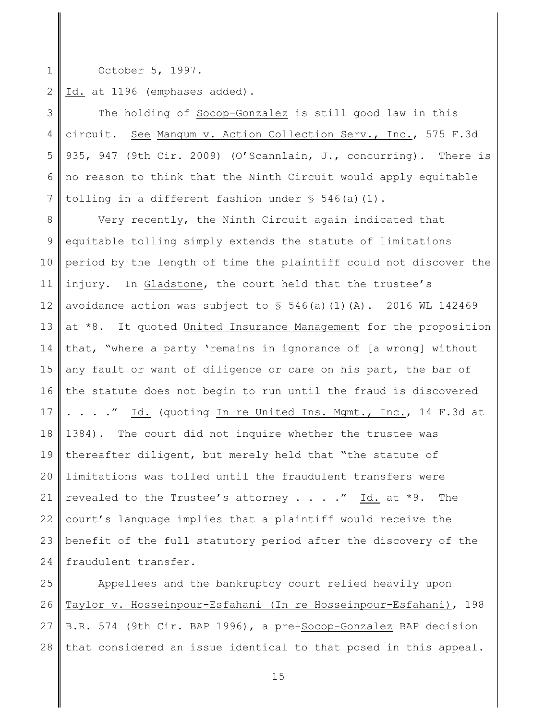1 October 5, 1997.

2 Id. at 1196 (emphases added).

3 4 5 6 7 The holding of Socop-Gonzalez is still good law in this circuit. See Mangum v. Action Collection Serv., Inc., 575 F.3d 935, 947 (9th Cir. 2009) (O'Scannlain, J., concurring). There is no reason to think that the Ninth Circuit would apply equitable tolling in a different fashion under  $\S$  546(a)(1).

8 9 10 11 12 13 14 15 16 17 18 19 20 21 22 23 24 Very recently, the Ninth Circuit again indicated that equitable tolling simply extends the statute of limitations period by the length of time the plaintiff could not discover the injury. In Gladstone, the court held that the trustee's avoidance action was subject to  $\frac{1}{5}$  546(a)(1)(A). 2016 WL 142469 at \*8. It quoted United Insurance Management for the proposition that, "where a party 'remains in ignorance of [a wrong] without any fault or want of diligence or care on his part, the bar of the statute does not begin to run until the fraud is discovered . . . ." Id. (quoting In re United Ins. Mgmt., Inc., 14 F.3d at 1384). The court did not inquire whether the trustee was thereafter diligent, but merely held that "the statute of limitations was tolled until the fraudulent transfers were revealed to the Trustee's attorney . . . . " Id. at  $*9$ . The court's language implies that a plaintiff would receive the benefit of the full statutory period after the discovery of the fraudulent transfer.

25 26 27 28 Appellees and the bankruptcy court relied heavily upon Taylor v. Hosseinpour-Esfahani (In re Hosseinpour-Esfahani), 198 B.R. 574 (9th Cir. BAP 1996), a pre-Socop-Gonzalez BAP decision that considered an issue identical to that posed in this appeal.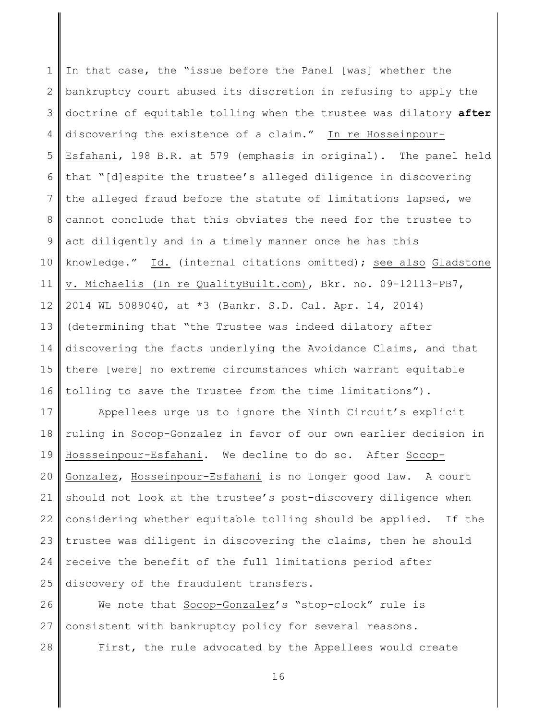1 2 3 4 5 6 7 8 9 10 11 12 13 14 15 16 In that case, the "issue before the Panel [was] whether the bankruptcy court abused its discretion in refusing to apply the doctrine of equitable tolling when the trustee was dilatory **after** discovering the existence of a claim." In re Hosseinpour-Esfahani, 198 B.R. at 579 (emphasis in original). The panel held that "[d]espite the trustee's alleged diligence in discovering the alleged fraud before the statute of limitations lapsed, we cannot conclude that this obviates the need for the trustee to act diligently and in a timely manner once he has this knowledge." Id. (internal citations omitted); see also Gladstone v. Michaelis (In re QualityBuilt.com), Bkr. no. 09-12113-PB7, 2014 WL 5089040, at \*3 (Bankr. S.D. Cal. Apr. 14, 2014) (determining that "the Trustee was indeed dilatory after discovering the facts underlying the Avoidance Claims, and that there [were] no extreme circumstances which warrant equitable tolling to save the Trustee from the time limitations").

17 18 19 20 21 22 23 24 25 Appellees urge us to ignore the Ninth Circuit's explicit ruling in Socop-Gonzalez in favor of our own earlier decision in Hossseinpour-Esfahani. We decline to do so. After Socop-Gonzalez, Hosseinpour-Esfahani is no longer good law. A court should not look at the trustee's post-discovery diligence when considering whether equitable tolling should be applied. If the trustee was diligent in discovering the claims, then he should receive the benefit of the full limitations period after discovery of the fraudulent transfers.

26 27 28 We note that Socop-Gonzalez's "stop-clock" rule is consistent with bankruptcy policy for several reasons. First, the rule advocated by the Appellees would create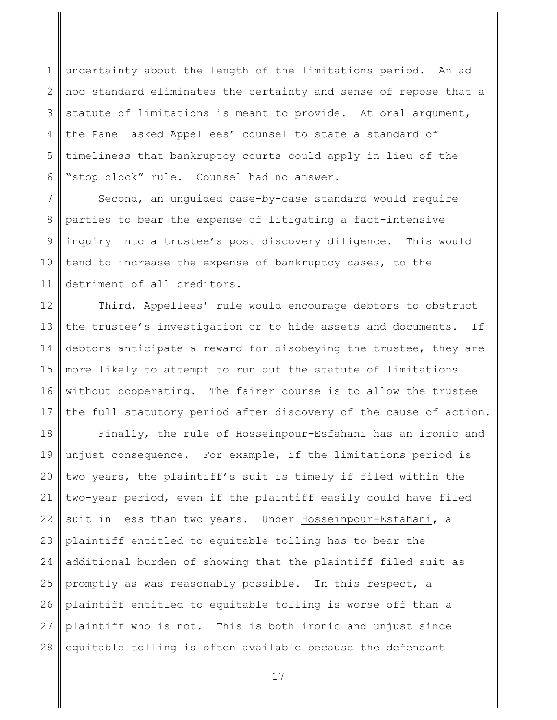1 2 3 4 5 6 uncertainty about the length of the limitations period. An ad hoc standard eliminates the certainty and sense of repose that a statute of limitations is meant to provide. At oral argument, the Panel asked Appellees' counsel to state a standard of timeliness that bankruptcy courts could apply in lieu of the "stop clock" rule. Counsel had no answer.

7 8 9 10 11 Second, an unguided case-by-case standard would require parties to bear the expense of litigating a fact-intensive inquiry into a trustee's post discovery diligence. This would tend to increase the expense of bankruptcy cases, to the detriment of all creditors.

12 13 14 15 16 17 Third, Appellees' rule would encourage debtors to obstruct the trustee's investigation or to hide assets and documents. If debtors anticipate a reward for disobeying the trustee, they are more likely to attempt to run out the statute of limitations without cooperating. The fairer course is to allow the trustee the full statutory period after discovery of the cause of action.

18 19 20 21 22 23 24 25 26 27 28 Finally, the rule of Hosseinpour-Esfahani has an ironic and unjust consequence. For example, if the limitations period is two years, the plaintiff's suit is timely if filed within the two-year period, even if the plaintiff easily could have filed suit in less than two years. Under Hosseinpour-Esfahani, a plaintiff entitled to equitable tolling has to bear the additional burden of showing that the plaintiff filed suit as promptly as was reasonably possible. In this respect, a plaintiff entitled to equitable tolling is worse off than a plaintiff who is not. This is both ironic and unjust since equitable tolling is often available because the defendant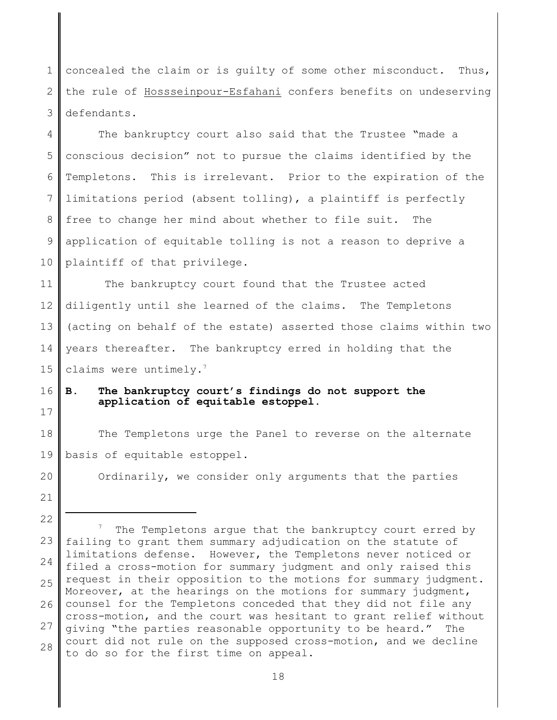1 2 3 concealed the claim or is guilty of some other misconduct. Thus, the rule of Hossseinpour-Esfahani confers benefits on undeserving defendants.

4 5 6 7 8 9 10 The bankruptcy court also said that the Trustee "made a conscious decision" not to pursue the claims identified by the Templetons. This is irrelevant. Prior to the expiration of the limitations period (absent tolling), a plaintiff is perfectly free to change her mind about whether to file suit. The application of equitable tolling is not a reason to deprive a plaintiff of that privilege.

11 12 13 14 15 The bankruptcy court found that the Trustee acted diligently until she learned of the claims. The Templetons (acting on behalf of the estate) asserted those claims within two years thereafter. The bankruptcy erred in holding that the claims were untimely. $7$ 

16

17

# **B. The bankruptcy court's findings do not support the application of equitable estoppel.**

18 19 The Templetons urge the Panel to reverse on the alternate basis of equitable estoppel.

Ordinarily, we consider only arguments that the parties

21 22

<sup>23</sup> 24 25 26 27 28  $7$  The Templetons arque that the bankruptcy court erred by failing to grant them summary adjudication on the statute of limitations defense. However, the Templetons never noticed or filed a cross-motion for summary judgment and only raised this request in their opposition to the motions for summary judgment. Moreover, at the hearings on the motions for summary judgment, counsel for the Templetons conceded that they did not file any cross-motion, and the court was hesitant to grant relief without giving "the parties reasonable opportunity to be heard." The court did not rule on the supposed cross-motion, and we decline to do so for the first time on appeal.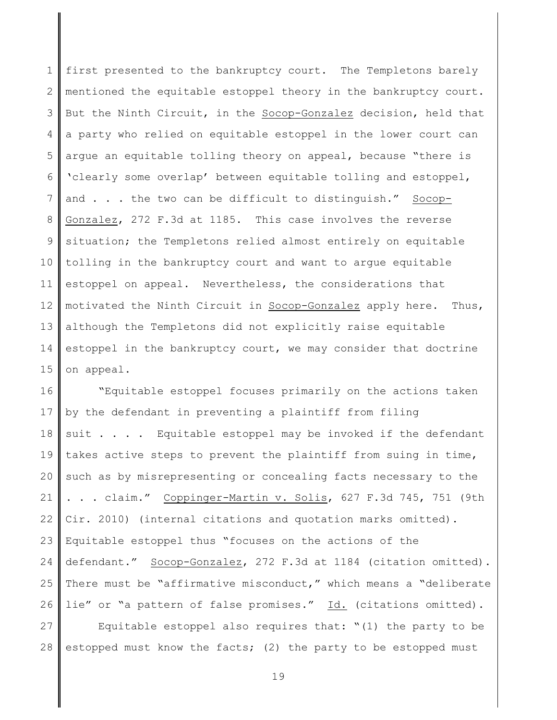1 2 3 4 5 6 7 8 9 10 11 12 13 14 15 first presented to the bankruptcy court. The Templetons barely mentioned the equitable estoppel theory in the bankruptcy court. But the Ninth Circuit, in the Socop-Gonzalez decision, held that a party who relied on equitable estoppel in the lower court can argue an equitable tolling theory on appeal, because "there is 'clearly some overlap' between equitable tolling and estoppel, and . . . the two can be difficult to distinguish." Socop-Gonzalez, 272 F.3d at 1185. This case involves the reverse situation; the Templetons relied almost entirely on equitable tolling in the bankruptcy court and want to argue equitable estoppel on appeal. Nevertheless, the considerations that motivated the Ninth Circuit in Socop-Gonzalez apply here. Thus, although the Templetons did not explicitly raise equitable estoppel in the bankruptcy court, we may consider that doctrine on appeal.

16 17 18 19 20 21 22 23 24 25 26 "Equitable estoppel focuses primarily on the actions taken by the defendant in preventing a plaintiff from filing suit . . . . Equitable estoppel may be invoked if the defendant takes active steps to prevent the plaintiff from suing in time, such as by misrepresenting or concealing facts necessary to the . . . claim." Coppinger-Martin v. Solis, 627 F.3d 745, 751 (9th Cir. 2010) (internal citations and quotation marks omitted). Equitable estoppel thus "focuses on the actions of the defendant." Socop-Gonzalez, 272 F.3d at 1184 (citation omitted). There must be "affirmative misconduct," which means a "deliberate lie" or "a pattern of false promises." Id. (citations omitted).

27 28 Equitable estoppel also requires that: " $(1)$  the party to be estopped must know the facts; (2) the party to be estopped must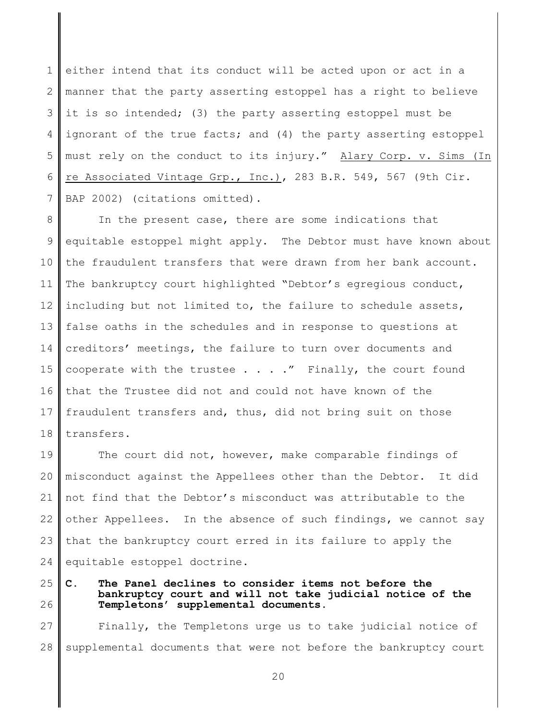1 2 3 4 5 6 7 either intend that its conduct will be acted upon or act in a manner that the party asserting estoppel has a right to believe it is so intended; (3) the party asserting estoppel must be ignorant of the true facts; and (4) the party asserting estoppel must rely on the conduct to its injury." Alary Corp. v. Sims (In re Associated Vintage Grp., Inc.), 283 B.R. 549, 567 (9th Cir. BAP 2002) (citations omitted).

8 9 10 11 12 13 14 15 16 17 18 In the present case, there are some indications that equitable estoppel might apply. The Debtor must have known about the fraudulent transfers that were drawn from her bank account. The bankruptcy court highlighted "Debtor's egregious conduct, including but not limited to, the failure to schedule assets, false oaths in the schedules and in response to questions at creditors' meetings, the failure to turn over documents and cooperate with the trustee  $\ldots$  . . " Finally, the court found that the Trustee did not and could not have known of the fraudulent transfers and, thus, did not bring suit on those transfers.

19 20 21 22 23 24 The court did not, however, make comparable findings of misconduct against the Appellees other than the Debtor. It did not find that the Debtor's misconduct was attributable to the other Appellees. In the absence of such findings, we cannot say that the bankruptcy court erred in its failure to apply the equitable estoppel doctrine.

25 26 **C. The Panel declines to consider items not before the bankruptcy court and will not take judicial notice of the Templetons' supplemental documents.**

27 28 Finally, the Templetons urge us to take judicial notice of supplemental documents that were not before the bankruptcy court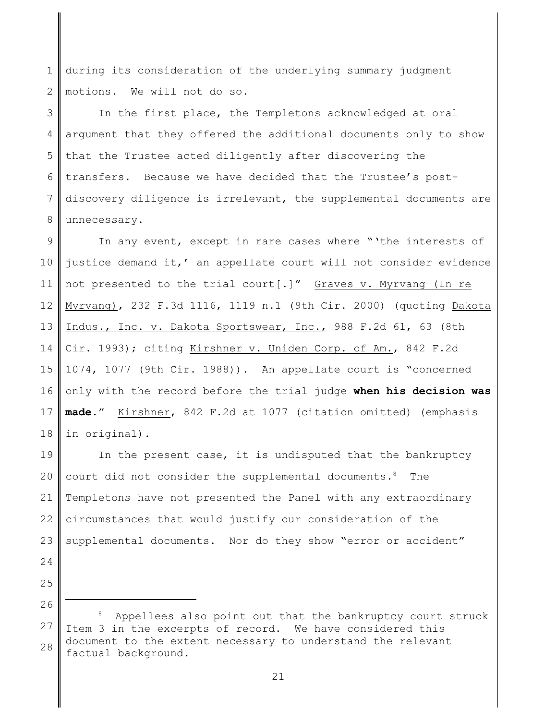1 2 during its consideration of the underlying summary judgment motions. We will not do so.

3 4 5 6 7 8 In the first place, the Templetons acknowledged at oral argument that they offered the additional documents only to show that the Trustee acted diligently after discovering the transfers. Because we have decided that the Trustee's postdiscovery diligence is irrelevant, the supplemental documents are unnecessary.

9 10 11 12 13 14 15 16 17 18 In any event, except in rare cases where "'the interests of justice demand it,' an appellate court will not consider evidence not presented to the trial court[.]" Graves v. Myrvang (In re Myrvang), 232 F.3d 1116, 1119 n.1 (9th Cir. 2000) (quoting Dakota Indus., Inc. v. Dakota Sportswear, Inc., 988 F.2d 61, 63 (8th Cir. 1993); citing Kirshner v. Uniden Corp. of Am., 842 F.2d 1074, 1077 (9th Cir. 1988)). An appellate court is "concerned only with the record before the trial judge **when his decision was made**." Kirshner, 842 F.2d at 1077 (citation omitted) (emphasis in original).

19 20 21 22 23 In the present case, it is undisputed that the bankruptcy court did not consider the supplemental documents.<sup>8</sup> The Templetons have not presented the Panel with any extraordinary circumstances that would justify our consideration of the supplemental documents. Nor do they show "error or accident"

- 24
- 25

<sup>27</sup> 28 <sup>8</sup> Appellees also point out that the bankruptcy court struck Item 3 in the excerpts of record. We have considered this document to the extent necessary to understand the relevant factual background.